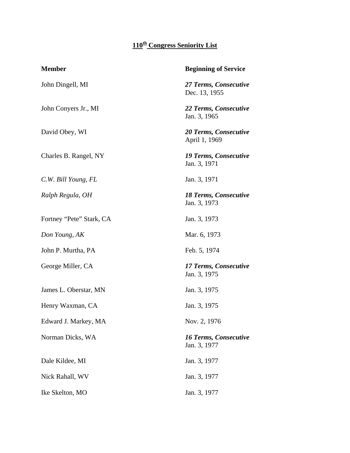## **110th Congress Seniority List**

| <b>Member</b>            | <b>Beginning of Service</b>                  |
|--------------------------|----------------------------------------------|
| John Dingell, MI         | 27 Terms, Consecutive<br>Dec. 13, 1955       |
| John Conyers Jr., MI     | 22 Terms, Consecutive<br>Jan. 3, 1965        |
| David Obey, WI           | 20 Terms, Consecutive<br>April 1, 1969       |
| Charles B. Rangel, NY    | <b>19 Terms, Consecutive</b><br>Jan. 3, 1971 |
| C.W. Bill Young, FL      | Jan. 3, 1971                                 |
| Ralph Regula, OH         | 18 Terms, Consecutive<br>Jan. 3, 1973        |
| Fortney "Pete" Stark, CA | Jan. 3, 1973                                 |
| Don Young, AK            | Mar. 6, 1973                                 |
| John P. Murtha, PA       | Feb. 5, 1974                                 |
| George Miller, CA        | 17 Terms, Consecutive<br>Jan. 3, 1975        |
| James L. Oberstar, MN    | Jan. 3, 1975                                 |
| Henry Waxman, CA         | Jan. 3, 1975                                 |
| Edward J. Markey, MA     | Nov. 2, 1976                                 |
| Norman Dicks, WA         | <b>16 Terms, Consecutive</b><br>Jan. 3, 1977 |
| Dale Kildee, MI          | Jan. 3, 1977                                 |
| Nick Rahall, WV          | Jan. 3, 1977                                 |
| Ike Skelton, MO          | Jan. 3, 1977                                 |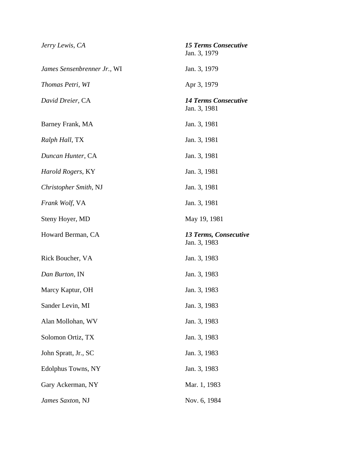| Jerry Lewis, CA             | <b>15 Terms Consecutive</b><br>Jan. 3, 1979 |
|-----------------------------|---------------------------------------------|
| James Sensenbrenner Jr., WI | Jan. 3, 1979                                |
| Thomas Petri, WI            | Apr 3, 1979                                 |
| David Dreier, CA            | <b>14 Terms Consecutive</b><br>Jan. 3, 1981 |
| Barney Frank, MA            | Jan. 3, 1981                                |
| Ralph Hall, TX              | Jan. 3, 1981                                |
| Duncan Hunter, CA           | Jan. 3, 1981                                |
| Harold Rogers, KY           | Jan. 3, 1981                                |
| Christopher Smith, NJ       | Jan. 3, 1981                                |
| Frank Wolf, VA              | Jan. 3, 1981                                |
| Steny Hoyer, MD             | May 19, 1981                                |
| Howard Berman, CA           | 13 Terms, Consecutive<br>Jan. 3, 1983       |
| Rick Boucher, VA            | Jan. 3, 1983                                |
| Dan Burton, IN              | Jan. 3, 1983                                |
| Marcy Kaptur, OH            | Jan. 3, 1983                                |
| Sander Levin, MI            | Jan. 3, 1983                                |
| Alan Mollohan, WV           | Jan. 3, 1983                                |
| Solomon Ortiz, TX           | Jan. 3, 1983                                |
| John Spratt, Jr., SC        | Jan. 3, 1983                                |
| Edolphus Towns, NY          | Jan. 3, 1983                                |
| Gary Ackerman, NY           | Mar. 1, 1983                                |
| James Saxton, NJ            | Nov. 6, 1984                                |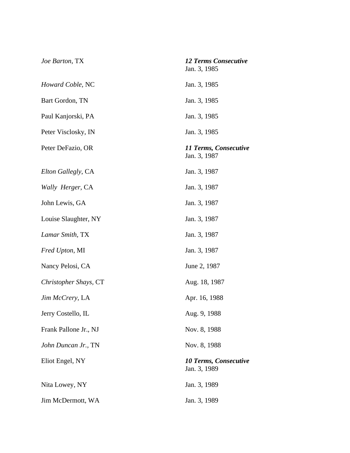| Joe Barton, TX          | <b>12 Terms Consecutive</b><br>Jan. 3, 1985  |
|-------------------------|----------------------------------------------|
| Howard Coble, NC        | Jan. 3, 1985                                 |
| Bart Gordon, TN         | Jan. 3, 1985                                 |
| Paul Kanjorski, PA      | Jan. 3, 1985                                 |
| Peter Visclosky, IN     | Jan. 3, 1985                                 |
| Peter DeFazio, OR       | 11 Terms, Consecutive<br>Jan. 3, 1987        |
| Elton Gallegly, CA      | Jan. 3, 1987                                 |
| Wally Herger, CA        | Jan. 3, 1987                                 |
| John Lewis, GA          | Jan. 3, 1987                                 |
| Louise Slaughter, NY    | Jan. 3, 1987                                 |
| Lamar Smith, TX         | Jan. 3, 1987                                 |
| <i>Fred Upton, MI</i>   | Jan. 3, 1987                                 |
| Nancy Pelosi, CA        | June 2, 1987                                 |
| Christopher Shays, CT   | Aug. 18, 1987                                |
| <i>Jim McCrery</i> , LA | Apr. 16, 1988                                |
| Jerry Costello, IL      | Aug. 9, 1988                                 |
| Frank Pallone Jr., NJ   | Nov. 8, 1988                                 |
| John Duncan Jr., TN     | Nov. 8, 1988                                 |
| Eliot Engel, NY         | <b>10 Terms, Consecutive</b><br>Jan. 3, 1989 |
| Nita Lowey, NY          | Jan. 3, 1989                                 |
| Jim McDermott, WA       | Jan. 3, 1989                                 |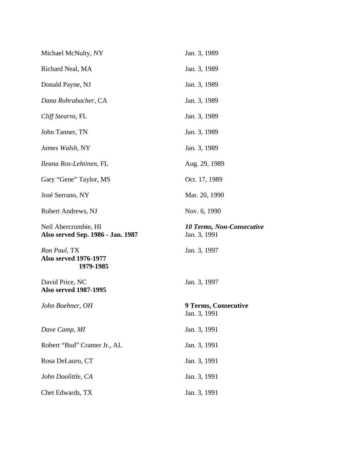| <b>10 Terms, Non-Consecutive</b> |
|----------------------------------|
|                                  |
|                                  |
|                                  |
|                                  |
|                                  |
|                                  |
|                                  |
|                                  |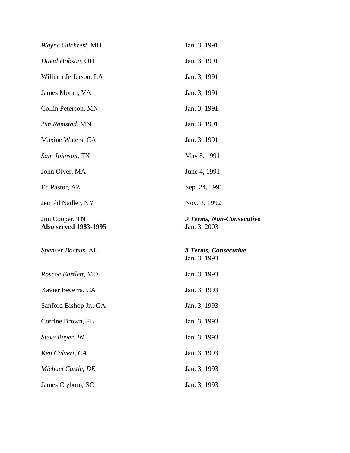| Wayne Gilchrest, MD                            | Jan. 3, 1991                             |
|------------------------------------------------|------------------------------------------|
| David Hobson, OH                               | Jan. 3, 1991                             |
| William Jefferson, LA                          | Jan. 3, 1991                             |
| James Moran, VA                                | Jan. 3, 1991                             |
| Collin Peterson, MN                            | Jan. 3, 1991                             |
| Jim Ramstad, MN                                | Jan. 3, 1991                             |
| Maxine Waters, CA                              | Jan. 3, 1991                             |
| Sam Johnson, TX                                | May 8, 1991                              |
| John Olver, MA                                 | June 4, 1991                             |
| Ed Pastor, AZ                                  | Sep. 24, 1991                            |
| Jerrold Nadler, NY                             | Nov. 3, 1992                             |
|                                                |                                          |
| Jim Cooper, TN<br><b>Also served 1983-1995</b> | 9 Terms, Non-Consecutive<br>Jan. 3, 2003 |
| Spencer Bachus, AL                             | 8 Terms, Consecutive<br>Jan. 3, 1993     |
| Roscoe Bartlett, MD                            | Jan. 3, 1993                             |
| Xavier Becerra, CA                             | Jan. 3, 1993                             |
| Sanford Bishop Jr., GA                         | Jan. 3, 1993                             |
| Corrine Brown, FL                              | Jan. 3, 1993                             |
| Steve Buyer, IN                                | Jan. 3, 1993                             |
| Ken Calvert, CA                                | Jan. 3, 1993                             |
| Michael Castle, DE                             | Jan. 3, 1993                             |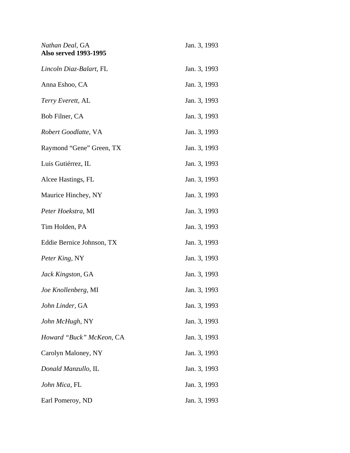| Nathan Deal, GA<br><b>Also served 1993-1995</b> | Jan. 3, 1993 |
|-------------------------------------------------|--------------|
| Lincoln Diaz-Balart, FL                         | Jan. 3, 1993 |
| Anna Eshoo, CA                                  | Jan. 3, 1993 |
| Terry Everett, AL                               | Jan. 3, 1993 |
| Bob Filner, CA                                  | Jan. 3, 1993 |
| Robert Goodlatte, VA                            | Jan. 3, 1993 |
| Raymond "Gene" Green, TX                        | Jan. 3, 1993 |
| Luis Gutiérrez, IL                              | Jan. 3, 1993 |
| Alcee Hastings, FL                              | Jan. 3, 1993 |
| Maurice Hinchey, NY                             | Jan. 3, 1993 |
| Peter Hoekstra, MI                              | Jan. 3, 1993 |
| Tim Holden, PA                                  | Jan. 3, 1993 |
| Eddie Bernice Johnson, TX                       | Jan. 3, 1993 |
| Peter King, NY                                  | Jan. 3, 1993 |
| Jack Kingston, GA                               | Jan. 3, 1993 |
| Joe Knollenberg, MI                             | Jan. 3, 1993 |
| John Linder, GA                                 | Jan. 3, 1993 |
| John McHugh, NY                                 | Jan. 3, 1993 |
| Howard "Buck" McKeon, CA                        | Jan. 3, 1993 |
| Carolyn Maloney, NY                             | Jan. 3, 1993 |
| Donald Manzullo, IL                             | Jan. 3, 1993 |
| John Mica, FL                                   | Jan. 3, 1993 |
| Earl Pomeroy, ND                                | Jan. 3, 1993 |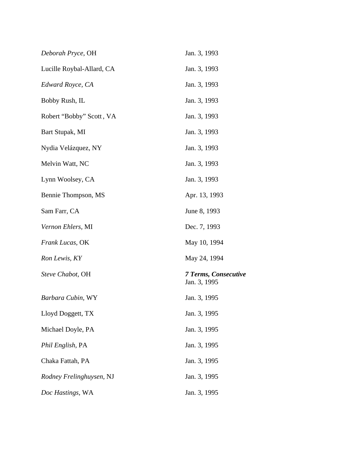| Deborah Pryce, OH         | Jan. 3, 1993                                |
|---------------------------|---------------------------------------------|
| Lucille Roybal-Allard, CA | Jan. 3, 1993                                |
| Edward Royce, CA          | Jan. 3, 1993                                |
| Bobby Rush, IL            | Jan. 3, 1993                                |
| Robert "Bobby" Scott, VA  | Jan. 3, 1993                                |
| Bart Stupak, MI           | Jan. 3, 1993                                |
| Nydia Velázquez, NY       | Jan. 3, 1993                                |
| Melvin Watt, NC           | Jan. 3, 1993                                |
| Lynn Woolsey, CA          | Jan. 3, 1993                                |
| Bennie Thompson, MS       | Apr. 13, 1993                               |
| Sam Farr, CA              | June 8, 1993                                |
| Vernon Ehlers, MI         | Dec. 7, 1993                                |
| Frank Lucas, OK           | May 10, 1994                                |
| Ron Lewis, KY             | May 24, 1994                                |
| Steve Chabot, OH          | <b>7 Terms, Consecutive</b><br>Jan. 3, 1995 |
| Barbara Cubin, WY         | Jan. 3, 1995                                |
| Lloyd Doggett, TX         | Jan. 3, 1995                                |
| Michael Doyle, PA         | Jan. 3, 1995                                |
| Phil English, PA          | Jan. 3, 1995                                |
| Chaka Fattah, PA          | Jan. 3, 1995                                |
| Rodney Frelinghuysen, NJ  | Jan. 3, 1995                                |
| Doc Hastings, WA          | Jan. 3, 1995                                |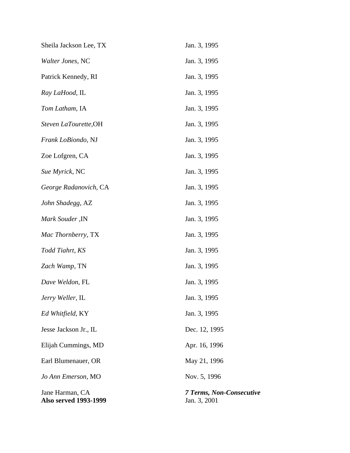| Sheila Jackson Lee, TX                          | Jan. 3, 1995                                    |
|-------------------------------------------------|-------------------------------------------------|
| Walter Jones, NC                                | Jan. 3, 1995                                    |
| Patrick Kennedy, RI                             | Jan. 3, 1995                                    |
| Ray LaHood, IL                                  | Jan. 3, 1995                                    |
| Tom Latham, IA                                  | Jan. 3, 1995                                    |
| Steven LaTourette, OH                           | Jan. 3, 1995                                    |
| Frank LoBiondo, NJ                              | Jan. 3, 1995                                    |
| Zoe Lofgren, CA                                 | Jan. 3, 1995                                    |
| Sue Myrick, NC                                  | Jan. 3, 1995                                    |
| George Radanovich, CA                           | Jan. 3, 1995                                    |
| John Shadegg, AZ                                | Jan. 3, 1995                                    |
| Mark Souder, IN                                 | Jan. 3, 1995                                    |
| Mac Thornberry, TX                              | Jan. 3, 1995                                    |
| Todd Tiahrt, KS                                 | Jan. 3, 1995                                    |
| Zach Wamp, TN                                   | Jan. 3, 1995                                    |
| Dave Weldon, FL                                 | Jan. 3, 1995                                    |
| Jerry Weller, IL                                | Jan. 3, 1995                                    |
| Ed Whitfield, KY                                | Jan. 3, 1995                                    |
| Jesse Jackson Jr., IL                           | Dec. 12, 1995                                   |
| Elijah Cummings, MD                             | Apr. 16, 1996                                   |
| Earl Blumenauer, OR                             | May 21, 1996                                    |
| Jo Ann Emerson, MO                              | Nov. 5, 1996                                    |
| Jane Harman, CA<br><b>Also served 1993-1999</b> | <b>7 Terms, Non-Consecutive</b><br>Jan. 3, 2001 |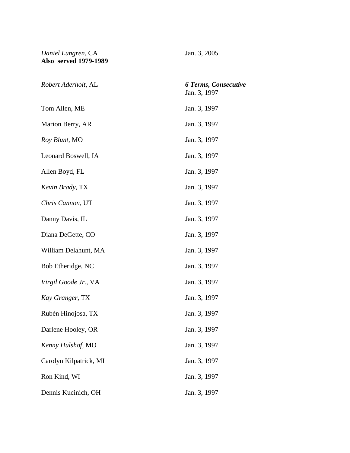## *Daniel Lungren,* CA Jan. 3, 2005 **Also served 1979-1989**

| Robert Aderholt, AL    | <b>6 Terms, Consecutive</b><br>Jan. 3, 1997 |
|------------------------|---------------------------------------------|
| Tom Allen, ME          | Jan. 3, 1997                                |
| Marion Berry, AR       | Jan. 3, 1997                                |
| Roy Blunt, MO          | Jan. 3, 1997                                |
| Leonard Boswell, IA    | Jan. 3, 1997                                |
| Allen Boyd, FL         | Jan. 3, 1997                                |
| Kevin Brady, TX        | Jan. 3, 1997                                |
| Chris Cannon, UT       | Jan. 3, 1997                                |
| Danny Davis, IL        | Jan. 3, 1997                                |
| Diana DeGette, CO      | Jan. 3, 1997                                |
| William Delahunt, MA   | Jan. 3, 1997                                |
| Bob Etheridge, NC      | Jan. 3, 1997                                |
| Virgil Goode Jr., VA   | Jan. 3, 1997                                |
| Kay Granger, TX        | Jan. 3, 1997                                |
| Rubén Hinojosa, TX     | Jan. 3, 1997                                |
| Darlene Hooley, OR     | Jan. 3, 1997                                |
| Kenny Hulshof, MO      | Jan. 3, 1997                                |
| Carolyn Kilpatrick, MI | Jan. 3, 1997                                |
| Ron Kind, WI           | Jan. 3, 1997                                |
| Dennis Kucinich, OH    | Jan. 3, 1997                                |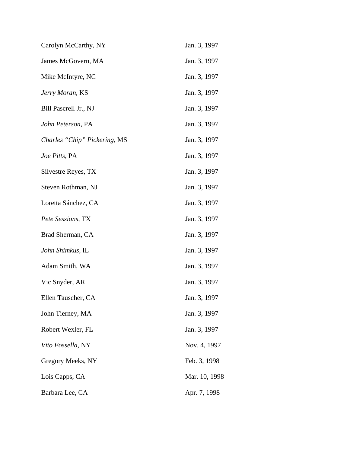| Carolyn McCarthy, NY         | Jan. 3, 1997  |
|------------------------------|---------------|
| James McGovern, MA           | Jan. 3, 1997  |
| Mike McIntyre, NC            | Jan. 3, 1997  |
| Jerry Moran, KS              | Jan. 3, 1997  |
| Bill Pascrell Jr., NJ        | Jan. 3, 1997  |
| John Peterson, PA            | Jan. 3, 1997  |
| Charles "Chip" Pickering, MS | Jan. 3, 1997  |
| Joe Pitts, PA                | Jan. 3, 1997  |
| Silvestre Reyes, TX          | Jan. 3, 1997  |
| Steven Rothman, NJ           | Jan. 3, 1997  |
| Loretta Sánchez, CA          | Jan. 3, 1997  |
| Pete Sessions, TX            | Jan. 3, 1997  |
| Brad Sherman, CA             | Jan. 3, 1997  |
| John Shimkus, IL             | Jan. 3, 1997  |
| Adam Smith, WA               | Jan. 3, 1997  |
| Vic Snyder, AR               | Jan. 3, 1997  |
| Ellen Tauscher, CA           | Jan. 3, 1997  |
| John Tierney, MA             | Jan. 3, 1997  |
| Robert Wexler, FL            | Jan. 3, 1997  |
| Vito Fossella, NY            | Nov. 4, 1997  |
| Gregory Meeks, NY            | Feb. 3, 1998  |
| Lois Capps, CA               | Mar. 10, 1998 |
| Barbara Lee, CA              | Apr. 7, 1998  |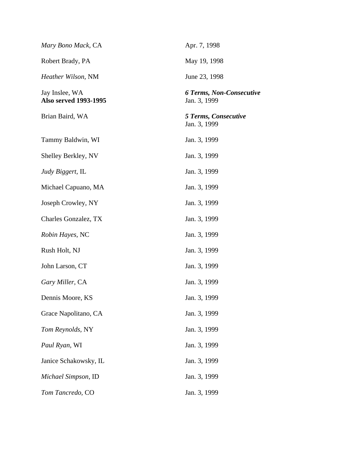| Mary Bono Mack, CA                             | Apr. 7, 1998                                    |
|------------------------------------------------|-------------------------------------------------|
| Robert Brady, PA                               | May 19, 1998                                    |
| Heather Wilson, NM                             | June 23, 1998                                   |
| Jay Inslee, WA<br><b>Also served 1993-1995</b> | <b>6 Terms, Non-Consecutive</b><br>Jan. 3, 1999 |
| Brian Baird, WA                                | <b>5 Terms, Consecutive</b><br>Jan. 3, 1999     |
| Tammy Baldwin, WI                              | Jan. 3, 1999                                    |
| Shelley Berkley, NV                            | Jan. 3, 1999                                    |
| Judy Biggert, IL                               | Jan. 3, 1999                                    |
| Michael Capuano, MA                            | Jan. 3, 1999                                    |
| Joseph Crowley, NY                             | Jan. 3, 1999                                    |
| Charles Gonzalez, TX                           | Jan. 3, 1999                                    |
| Robin Hayes, NC                                | Jan. 3, 1999                                    |
| Rush Holt, NJ                                  | Jan. 3, 1999                                    |
| John Larson, CT                                | Jan. 3, 1999                                    |
| Gary Miller, CA                                | Jan. 3, 1999                                    |
| Dennis Moore, KS                               | Jan. 3, 1999                                    |
| Grace Napolitano, CA                           | Jan. 3, 1999                                    |
| Tom Reynolds, NY                               | Jan. 3, 1999                                    |
| Paul Ryan, WI                                  | Jan. 3, 1999                                    |
| Janice Schakowsky, IL                          | Jan. 3, 1999                                    |
| Michael Simpson, ID                            | Jan. 3, 1999                                    |
| Tom Tancredo, CO                               | Jan. 3, 1999                                    |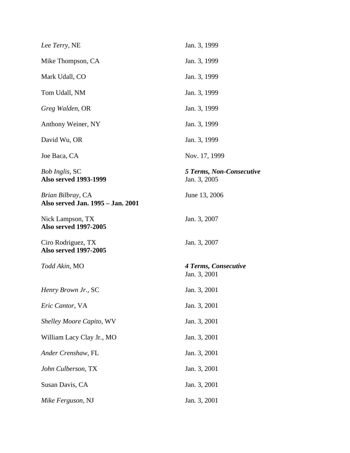| Lee Terry, NE                                          | Jan. 3, 1999                                    |
|--------------------------------------------------------|-------------------------------------------------|
| Mike Thompson, CA                                      | Jan. 3, 1999                                    |
| Mark Udall, CO                                         | Jan. 3, 1999                                    |
| Tom Udall, NM                                          | Jan. 3, 1999                                    |
| Greg Walden, OR                                        | Jan. 3, 1999                                    |
| Anthony Weiner, NY                                     | Jan. 3, 1999                                    |
| David Wu, OR                                           | Jan. 3, 1999                                    |
| Joe Baca, CA                                           | Nov. 17, 1999                                   |
| <b>Bob Inglis, SC</b><br><b>Also served 1993-1999</b>  | <b>5 Terms, Non-Consecutive</b><br>Jan. 3, 2005 |
| Brian Bilbray, CA<br>Also served Jan. 1995 - Jan. 2001 | June 13, 2006                                   |
| Nick Lampson, TX<br><b>Also served 1997-2005</b>       | Jan. 3, 2007                                    |
| Ciro Rodriguez, TX<br><b>Also served 1997-2005</b>     | Jan. 3, 2007                                    |
| Todd Akin, MO                                          | 4 Terms, Consecutive<br>Jan. 3, 2001            |
| Henry Brown Jr., SC                                    | Jan. 3, 2001                                    |
| Eric Cantor, VA                                        | Jan. 3, 2001                                    |
| Shelley Moore Capito, WV                               | Jan. 3, 2001                                    |
| William Lacy Clay Jr., MO                              | Jan. 3, 2001                                    |
| Ander Crenshaw, FL                                     | Jan. 3, 2001                                    |
| John Culberson, TX                                     | Jan. 3, 2001                                    |
| Susan Davis, CA                                        | Jan. 3, 2001                                    |
| Mike Ferguson, NJ                                      | Jan. 3, 2001                                    |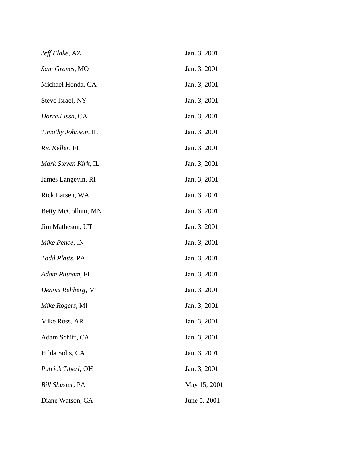| Jeff Flake, AZ          | Jan. 3, 2001 |
|-------------------------|--------------|
| Sam Graves, MO          | Jan. 3, 2001 |
| Michael Honda, CA       | Jan. 3, 2001 |
| Steve Israel, NY        | Jan. 3, 2001 |
| Darrell Issa, CA        | Jan. 3, 2001 |
| Timothy Johnson, IL     | Jan. 3, 2001 |
| Ric Keller, FL          | Jan. 3, 2001 |
| Mark Steven Kirk, IL    | Jan. 3, 2001 |
| James Langevin, RI      | Jan. 3, 2001 |
| Rick Larsen, WA         | Jan. 3, 2001 |
| Betty McCollum, MN      | Jan. 3, 2001 |
| Jim Matheson, UT        | Jan. 3, 2001 |
| Mike Pence, IN          | Jan. 3, 2001 |
| <i>Todd Platts</i> , PA | Jan. 3, 2001 |
| Adam Putnam, FL         | Jan. 3, 2001 |
| Dennis Rehberg, MT      | Jan. 3, 2001 |
| Mike Rogers, MI         | Jan. 3, 2001 |
| Mike Ross, AR           | Jan. 3, 2001 |
| Adam Schiff, CA         | Jan. 3, 2001 |
| Hilda Solis, CA         | Jan. 3, 2001 |
| Patrick Tiberi, OH      | Jan. 3, 2001 |
| <b>Bill Shuster, PA</b> | May 15, 2001 |
| Diane Watson, CA        | June 5, 2001 |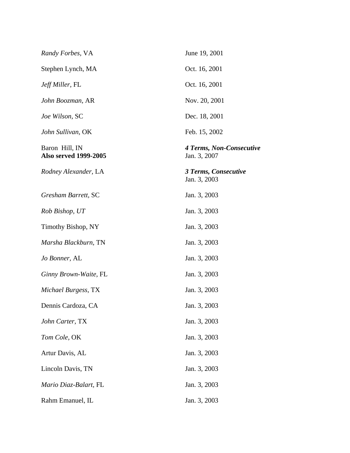| Randy Forbes, VA                               | June 19, 2001                            |
|------------------------------------------------|------------------------------------------|
| Stephen Lynch, MA                              | Oct. 16, 2001                            |
| <i>Jeff Miller</i> , FL                        | Oct. 16, 2001                            |
| John Boozman, AR                               | Nov. 20, 2001                            |
| Joe Wilson, SC                                 | Dec. 18, 2001                            |
| John Sullivan, OK                              | Feb. 15, 2002                            |
| Baron Hill, IN<br><b>Also served 1999-2005</b> | 4 Terms, Non-Consecutive<br>Jan. 3, 2007 |
| Rodney Alexander, LA                           | 3 Terms, Consecutive<br>Jan. 3, 2003     |
| Gresham Barrett, SC                            | Jan. 3, 2003                             |
| Rob Bishop, UT                                 | Jan. 3, 2003                             |
| Timothy Bishop, NY                             | Jan. 3, 2003                             |
| Marsha Blackburn, TN                           | Jan. 3, 2003                             |
| Jo Bonner, AL                                  | Jan. 3, 2003                             |
| Ginny Brown-Waite, FL                          | Jan. 3, 2003                             |
| Michael Burgess, TX                            | Jan. 3, 2003                             |
| Dennis Cardoza, CA                             | Jan. 3, 2003                             |
| John Carter, TX                                | Jan. 3, 2003                             |
| Tom Cole, OK                                   | Jan. 3, 2003                             |
| Artur Davis, AL                                | Jan. 3, 2003                             |
| Lincoln Davis, TN                              | Jan. 3, 2003                             |
| Mario Diaz-Balart, FL                          | Jan. 3, 2003                             |
| Rahm Emanuel, IL                               | Jan. 3, 2003                             |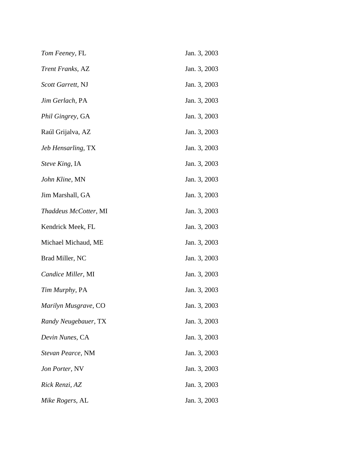| Tom Feeney, FL         | Jan. 3, 2003 |
|------------------------|--------------|
| Trent Franks, AZ       | Jan. 3, 2003 |
| Scott Garrett, NJ      | Jan. 3, 2003 |
| Jim Gerlach, PA        | Jan. 3, 2003 |
| Phil Gingrey, GA       | Jan. 3, 2003 |
| Raúl Grijalva, AZ      | Jan. 3, 2003 |
| Jeb Hensarling, TX     | Jan. 3, 2003 |
| <i>Steve King</i> , IA | Jan. 3, 2003 |
| John Kline, MN         | Jan. 3, 2003 |
| Jim Marshall, GA       | Jan. 3, 2003 |
| Thaddeus McCotter, MI  | Jan. 3, 2003 |
| Kendrick Meek, FL      | Jan. 3, 2003 |
| Michael Michaud, ME    | Jan. 3, 2003 |
| Brad Miller, NC        | Jan. 3, 2003 |
| Candice Miller, MI     | Jan. 3, 2003 |
| Tim Murphy, PA         | Jan. 3, 2003 |
| Marilyn Musgrave, CO   | Jan. 3, 2003 |
| Randy Neugebauer, TX   | Jan. 3, 2003 |
| Devin Nunes, CA        | Jan. 3, 2003 |
| Stevan Pearce, NM      | Jan. 3, 2003 |
| Jon Porter, NV         | Jan. 3, 2003 |
| Rick Renzi, AZ         | Jan. 3, 2003 |
| Mike Rogers, AL        | Jan. 3, 2003 |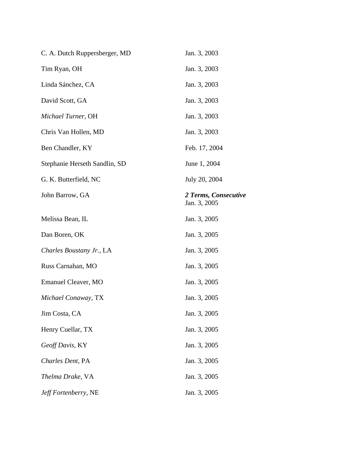| C. A. Dutch Ruppersberger, MD | Jan. 3, 2003                         |
|-------------------------------|--------------------------------------|
| Tim Ryan, OH                  | Jan. 3, 2003                         |
| Linda Sánchez, CA             | Jan. 3, 2003                         |
| David Scott, GA               | Jan. 3, 2003                         |
| Michael Turner, OH            | Jan. 3, 2003                         |
| Chris Van Hollen, MD          | Jan. 3, 2003                         |
| Ben Chandler, KY              | Feb. 17, 2004                        |
| Stephanie Herseth Sandlin, SD | June 1, 2004                         |
| G. K. Butterfield, NC         | July 20, 2004                        |
| John Barrow, GA               | 2 Terms, Consecutive<br>Jan. 3, 2005 |
| Melissa Bean, IL              | Jan. 3, 2005                         |
| Dan Boren, OK                 | Jan. 3, 2005                         |
| Charles Boustany Jr., LA      | Jan. 3, 2005                         |
| Russ Carnahan, MO             | Jan. 3, 2005                         |
| <b>Emanuel Cleaver, MO</b>    | Jan. 3, 2005                         |
| Michael Conaway, TX           | Jan. 3, 2005                         |
| Jim Costa, CA                 | Jan. 3, 2005                         |
| Henry Cuellar, TX             | Jan. 3, 2005                         |
| Geoff Davis, KY               | Jan. 3, 2005                         |
| Charles Dent, PA              | Jan. 3, 2005                         |
| Thelma Drake, VA              | Jan. 3, 2005                         |
| Jeff Fortenberry, NE          | Jan. 3, 2005                         |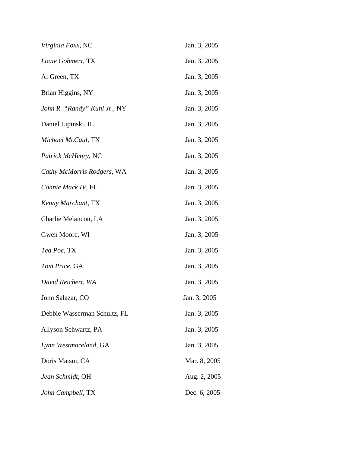| Virginia Foxx, NC            | Jan. 3, 2005 |
|------------------------------|--------------|
| Louie Gohmert, TX            | Jan. 3, 2005 |
| Al Green, TX                 | Jan. 3, 2005 |
| Brian Higgins, NY            | Jan. 3, 2005 |
| John R. "Randy" Kuhl Jr., NY | Jan. 3, 2005 |
| Daniel Lipinski, IL          | Jan. 3, 2005 |
| Michael McCaul, TX           | Jan. 3, 2005 |
| Patrick McHenry, NC          | Jan. 3, 2005 |
| Cathy McMorris Rodgers, WA   | Jan. 3, 2005 |
| Connie Mack IV, FL           | Jan. 3, 2005 |
| Kenny Marchant, TX           | Jan. 3, 2005 |
| Charlie Melancon, LA         | Jan. 3, 2005 |
| Gwen Moore, WI               | Jan. 3, 2005 |
| Ted Poe, TX                  | Jan. 3, 2005 |
| Tom Price, GA                | Jan. 3, 2005 |
| David Reichert, WA           | Jan. 3, 2005 |
| John Salazar, CO             | Jan. 3, 2005 |
| Debbie Wasserman Schultz, FL | Jan. 3, 2005 |
| Allyson Schwartz, PA         | Jan. 3, 2005 |
| Lynn Westmoreland, GA        | Jan. 3, 2005 |
| Doris Matsui, CA             | Mar. 8, 2005 |
| Jean Schmidt, OH             | Aug. 2, 2005 |
| John Campbell, TX            | Dec. 6, 2005 |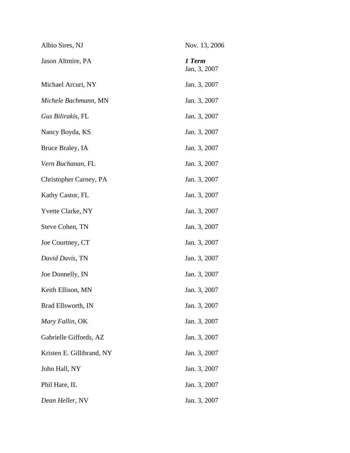| Albio Sires, NJ           | Nov. 13, 2006          |
|---------------------------|------------------------|
| Jason Altmire, PA         | 1 Term<br>Jan, 3, 2007 |
| Michael Arcuri, NY        | Jan. 3, 2007           |
| Michele Bachmann, MN      | Jan. 3, 2007           |
| Gus Bilirakis, FL         | Jan. 3, 2007           |
| Nancy Boyda, KS           | Jan. 3, 2007           |
| Bruce Braley, IA          | Jan. 3, 2007           |
| Vern Buchanan, FL         | Jan. 3, 2007           |
| Christopher Carney, PA    | Jan. 3, 2007           |
| Kathy Castor, FL          | Jan. 3, 2007           |
| Yvette Clarke, NY         | Jan. 3, 2007           |
| Steve Cohen, TN           | Jan. 3, 2007           |
| Joe Courtney, CT          | Jan. 3, 2007           |
| David Davis, TN           | Jan. 3, 2007           |
| Joe Donnelly, IN          | Jan. 3, 2007           |
| Keith Ellison, MN         | Jan. 3, 2007           |
| Brad Ellsworth, IN        | Jan. 3, 2007           |
| Mary Fallin, OK           | Jan. 3, 2007           |
| Gabrielle Giffords, AZ    | Jan. 3, 2007           |
| Kristen E. Gillibrand, NY | Jan. 3, 2007           |
| John Hall, NY             | Jan. 3, 2007           |
| Phil Hare, IL             | Jan. 3, 2007           |
| Dean Heller, NV           | Jan. 3, 2007           |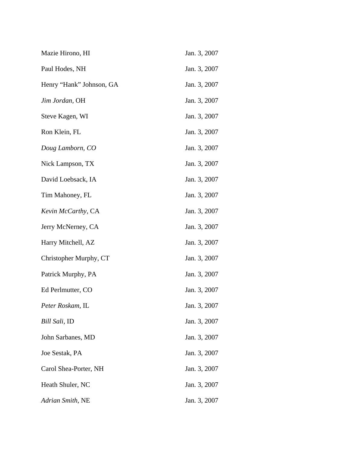| Mazie Hirono, HI         | Jan. 3, 2007 |
|--------------------------|--------------|
| Paul Hodes, NH           | Jan. 3, 2007 |
| Henry "Hank" Johnson, GA | Jan. 3, 2007 |
| Jim Jordan, OH           | Jan. 3, 2007 |
| Steve Kagen, WI          | Jan. 3, 2007 |
| Ron Klein, FL            | Jan. 3, 2007 |
| Doug Lamborn, CO         | Jan. 3, 2007 |
| Nick Lampson, TX         | Jan. 3, 2007 |
| David Loebsack, IA       | Jan. 3, 2007 |
| Tim Mahoney, FL          | Jan. 3, 2007 |
| Kevin McCarthy, CA       | Jan. 3, 2007 |
| Jerry McNerney, CA       | Jan. 3, 2007 |
| Harry Mitchell, AZ       | Jan. 3, 2007 |
| Christopher Murphy, CT   | Jan. 3, 2007 |
| Patrick Murphy, PA       | Jan. 3, 2007 |
| Ed Perlmutter, CO        | Jan. 3, 2007 |
| Peter Roskam, IL         | Jan. 3, 2007 |
| <i>Bill Sali</i> , ID    | Jan. 3, 2007 |
| John Sarbanes, MD        | Jan. 3, 2007 |
| Joe Sestak, PA           | Jan. 3, 2007 |
| Carol Shea-Porter, NH    | Jan. 3, 2007 |
| Heath Shuler, NC         | Jan. 3, 2007 |
| Adrian Smith, NE         | Jan. 3, 2007 |